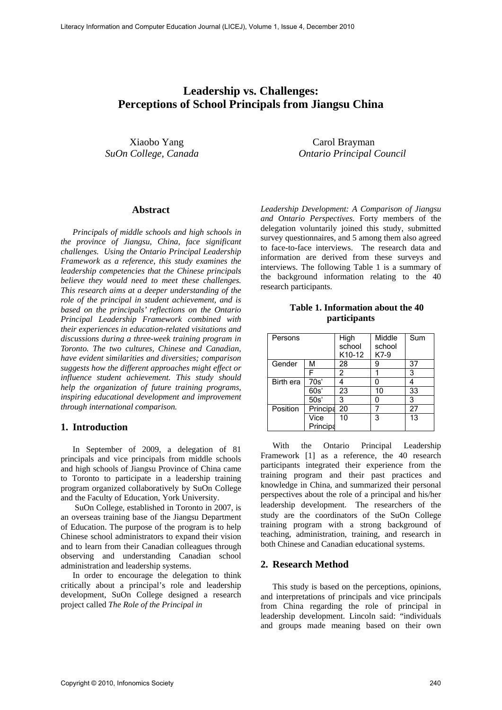# **Leadership vs. Challenges: Perceptions of School Principals from Jiangsu China**

 Xiaobo Yang Carol Brayman *SuOn College, Canada Ontario Principal Council* 

#### **Abstract**

*Principals of middle schools and high schools in the province of Jiangsu, China, face significant challenges. Using the Ontario Principal Leadership Framework as a reference, this study examines the leadership competencies that the Chinese principals believe they would need to meet these challenges. This research aims at a deeper understanding of the role of the principal in student achievement, and is based on the principals' reflections on the Ontario Principal Leadership Framework combined with their experiences in education-related visitations and discussions during a three-week training program in Toronto. The two cultures, Chinese and Canadian, have evident similarities and diversities; comparison suggests how the different approaches might effect or influence student achievement. This study should help the organization of future training programs, inspiring educational development and improvement through international comparison.* 

#### **1. Introduction**

In September of 2009, a delegation of 81 principals and vice principals from middle schools and high schools of Jiangsu Province of China came to Toronto to participate in a leadership training program organized collaboratively by SuOn College and the Faculty of Education, York University.

 SuOn College, established in Toronto in 2007, is an overseas training base of the Jiangsu Department of Education. The purpose of the program is to help Chinese school administrators to expand their vision and to learn from their Canadian colleagues through observing and understanding Canadian school administration and leadership systems.

In order to encourage the delegation to think critically about a principal's role and leadership development, SuOn College designed a research project called *The Role of the Principal in* 

*Leadership Development: A Comparison of Jiangsu and Ontario Perspectives*. Forty members of the delegation voluntarily joined this study, submitted survey questionnaires, and 5 among them also agreed to face-to-face interviews. The research data and information are derived from these surveys and interviews. The following Table 1 is a summary of the background information relating to the 40 research participants.

**Table 1. Information about the 40 participants** 

| Persons   |                  | High<br>school<br>K10-12 | Middle<br>school<br>K7-9 | Sum |
|-----------|------------------|--------------------------|--------------------------|-----|
| Gender    | м                | 28                       | 9                        | 37  |
|           | F                | 2                        |                          | 3   |
| Birth era | 70s'             |                          |                          |     |
|           | 60s'             | 23                       | 10                       | 33  |
|           | 50s'             | 3                        |                          | 3   |
| Position  | Principa         | 20                       |                          | 27  |
|           | Vice<br>Principa | 10                       | 3                        | 13  |

With the Ontario Principal Leadership Framework [1] as a reference, the 40 research participants integrated their experience from the training program and their past practices and knowledge in China, and summarized their personal perspectives about the role of a principal and his/her leadership development. The researchers of the study are the coordinators of the SuOn College training program with a strong background of teaching, administration, training, and research in both Chinese and Canadian educational systems.

#### **2. Research Method**

This study is based on the perceptions, opinions, and interpretations of principals and vice principals from China regarding the role of principal in leadership development. Lincoln said: "individuals and groups made meaning based on their own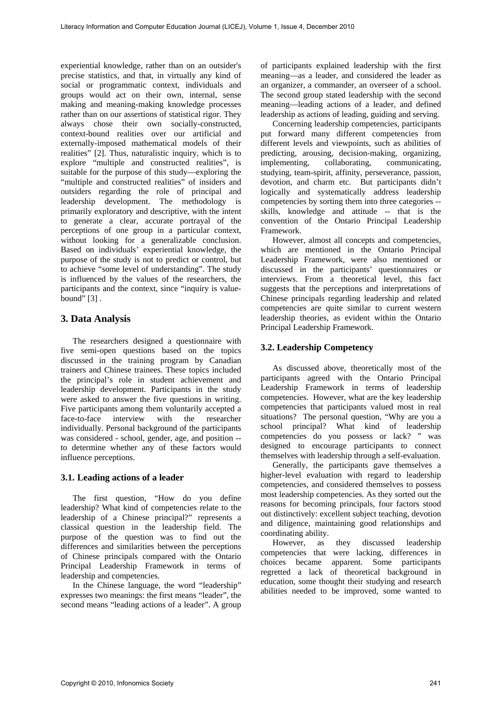experiential knowledge, rather than on an outsider's precise statistics, and that, in virtually any kind of social or programmatic context, individuals and groups would act on their own, internal, sense making and meaning-making knowledge processes rather than on our assertions of statistical rigor. They always chose their own socially-constructed, context-bound realities over our artificial and externally-imposed mathematical models of their realities" [2]. Thus, naturalistic inquiry, which is to explore "multiple and constructed realities", is suitable for the purpose of this study—exploring the "multiple and constructed realities" of insiders and outsiders regarding the role of principal and leadership development. The methodology is primarily exploratory and descriptive, with the intent to generate a clear, accurate portrayal of the perceptions of one group in a particular context, without looking for a generalizable conclusion. Based on individuals' experiential knowledge, the purpose of the study is not to predict or control, but to achieve "some level of understanding". The study is influenced by the values of the researchers, the participants and the context, since "inquiry is valuebound" [3] .

# **3. Data Analysis**

The researchers designed a questionnaire with five semi-open questions based on the topics discussed in the training program by Canadian trainers and Chinese trainees. These topics included the principal's role in student achievement and leadership development. Participants in the study were asked to answer the five questions in writing. Five participants among them voluntarily accepted a face-to-face interview with the researcher individually. Personal background of the participants was considered - school, gender, age, and position - to determine whether any of these factors would influence perceptions.

#### **3.1. Leading actions of a leader**

The first question, "How do you define leadership? What kind of competencies relate to the leadership of a Chinese principal?" represents a classical question in the leadership field. The purpose of the question was to find out the differences and similarities between the perceptions of Chinese principals compared with the Ontario Principal Leadership Framework in terms of leadership and competencies.

In the Chinese language, the word "leadership" expresses two meanings: the first means "leader", the second means "leading actions of a leader". A group of participants explained leadership with the first meaning—as a leader, and considered the leader as an organizer, a commander, an overseer of a school. The second group stated leadership with the second meaning—leading actions of a leader, and defined leadership as actions of leading, guiding and serving.

Concerning leadership competencies, participants put forward many different competencies from different levels and viewpoints, such as abilities of predicting, arousing, decision-making, organizing, implementing, collaborating, communicating, studying, team-spirit, affinity, perseverance, passion, devotion, and charm etc. But participants didn't logically and systematically address leadership competencies by sorting them into three categories - skills, knowledge and attitude -- that is the convention of the Ontario Principal Leadership Framework.

However, almost all concepts and competencies, which are mentioned in the Ontario Principal Leadership Framework, were also mentioned or discussed in the participants' questionnaires or interviews. From a theoretical level, this fact suggests that the perceptions and interpretations of Chinese principals regarding leadership and related competencies are quite similar to current western leadership theories, as evident within the Ontario Principal Leadership Framework.

## **3.2. Leadership Competency**

As discussed above, theoretically most of the participants agreed with the Ontario Principal Leadership Framework in terms of leadership competencies. However, what are the key leadership competencies that participants valued most in real situations? The personal question, "Why are you a school principal? What kind of leadership competencies do you possess or lack? " was designed to encourage participants to connect themselves with leadership through a self-evaluation.

Generally, the participants gave themselves a higher-level evaluation with regard to leadership competencies, and considered themselves to possess most leadership competencies. As they sorted out the reasons for becoming principals, four factors stood out distinctively: excellent subject teaching, devotion and diligence, maintaining good relationships and coordinating ability.

However, as they discussed leadership competencies that were lacking, differences in choices became apparent. Some participants regretted a lack of theoretical background in education, some thought their studying and research abilities needed to be improved, some wanted to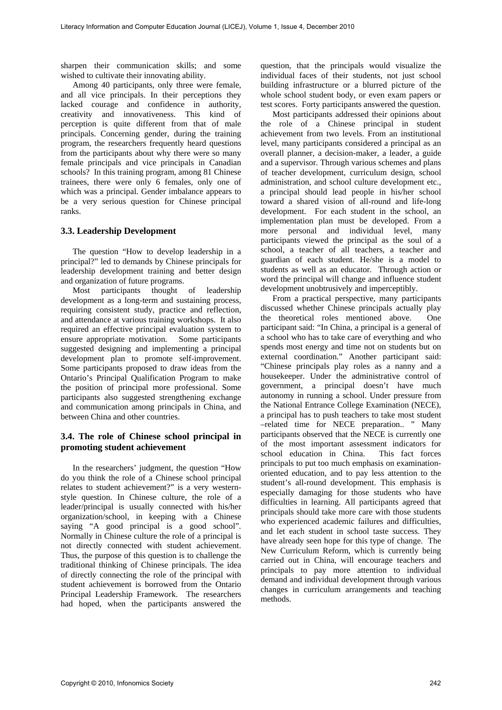sharpen their communication skills; and some wished to cultivate their innovating ability.

Among 40 participants, only three were female, and all vice principals. In their perceptions they lacked courage and confidence in authority, creativity and innovativeness. This kind of perception is quite different from that of male principals. Concerning gender, during the training program, the researchers frequently heard questions from the participants about why there were so many female principals and vice principals in Canadian schools? In this training program, among 81 Chinese trainees, there were only 6 females, only one of which was a principal. Gender imbalance appears to be a very serious question for Chinese principal ranks.

#### **3.3. Leadership Development**

The question "How to develop leadership in a principal?" led to demands by Chinese principals for leadership development training and better design and organization of future programs.

Most participants thought of leadership development as a long-term and sustaining process, requiring consistent study, practice and reflection, and attendance at various training workshops. It also required an effective principal evaluation system to ensure appropriate motivation. Some participants suggested designing and implementing a principal development plan to promote self-improvement. Some participants proposed to draw ideas from the Ontario's Principal Qualification Program to make the position of principal more professional. Some participants also suggested strengthening exchange and communication among principals in China, and between China and other countries.

## **3.4. The role of Chinese school principal in promoting student achievement**

In the researchers' judgment, the question "How do you think the role of a Chinese school principal relates to student achievement?" is a very westernstyle question. In Chinese culture, the role of a leader/principal is usually connected with his/her organization/school, in keeping with a Chinese saying "A good principal is a good school". Normally in Chinese culture the role of a principal is not directly connected with student achievement. Thus, the purpose of this question is to challenge the traditional thinking of Chinese principals. The idea of directly connecting the role of the principal with student achievement is borrowed from the Ontario Principal Leadership Framework. The researchers had hoped, when the participants answered the

question, that the principals would visualize the individual faces of their students, not just school building infrastructure or a blurred picture of the whole school student body, or even exam papers or test scores. Forty participants answered the question.

Most participants addressed their opinions about the role of a Chinese principal in student achievement from two levels. From an institutional level, many participants considered a principal as an overall planner, a decision-maker, a leader, a guide and a supervisor. Through various schemes and plans of teacher development, curriculum design, school administration, and school culture development etc., a principal should lead people in his/her school toward a shared vision of all-round and life-long development. For each student in the school, an implementation plan must be developed. From a more personal and individual level, many participants viewed the principal as the soul of a school, a teacher of all teachers, a teacher and guardian of each student. He/she is a model to students as well as an educator. Through action or word the principal will change and influence student development unobtrusively and imperceptibly.

From a practical perspective, many participants discussed whether Chinese principals actually play the theoretical roles mentioned above. One participant said: "In China, a principal is a general of a school who has to take care of everything and who spends most energy and time not on students but on external coordination." Another participant said: "Chinese principals play roles as a nanny and a housekeeper. Under the administrative control of government, a principal doesn't have much autonomy in running a school. Under pressure from the National Entrance College Examination (NECE), a principal has to push teachers to take most student –related time for NECE preparation.. " Many participants observed that the NECE is currently one of the most important assessment indicators for school education in China. This fact forces principals to put too much emphasis on examinationoriented education, and to pay less attention to the student's all-round development. This emphasis is especially damaging for those students who have difficulties in learning. All participants agreed that principals should take more care with those students who experienced academic failures and difficulties, and let each student in school taste success. They have already seen hope for this type of change. The New Curriculum Reform, which is currently being carried out in China, will encourage teachers and principals to pay more attention to individual demand and individual development through various changes in curriculum arrangements and teaching methods.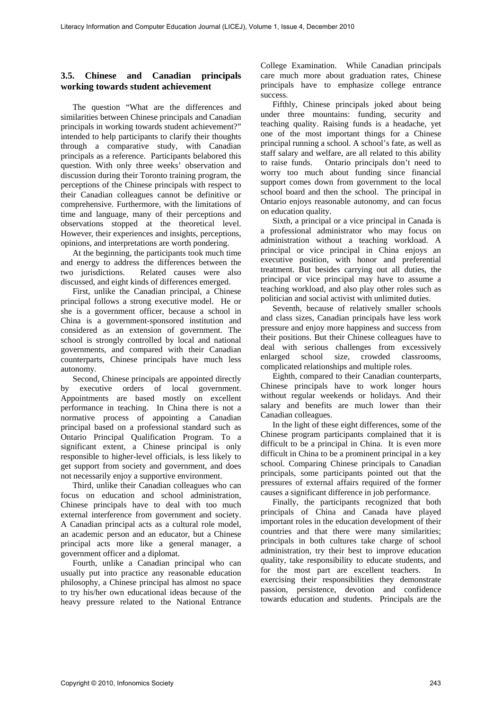### **3.5. Chinese and Canadian principals working towards student achievement**

The question "What are the differences and similarities between Chinese principals and Canadian principals in working towards student achievement?" intended to help participants to clarify their thoughts through a comparative study, with Canadian principals as a reference. Participants belabored this question. With only three weeks' observation and discussion during their Toronto training program, the perceptions of the Chinese principals with respect to their Canadian colleagues cannot be definitive or comprehensive. Furthermore, with the limitations of time and language, many of their perceptions and observations stopped at the theoretical level. However, their experiences and insights, perceptions, opinions, and interpretations are worth pondering.

At the beginning, the participants took much time and energy to address the differences between the two jurisdictions. Related causes were also discussed, and eight kinds of differences emerged.

First, unlike the Canadian principal, a Chinese principal follows a strong executive model. He or she is a government officer, because a school in China is a government-sponsored institution and considered as an extension of government. The school is strongly controlled by local and national governments, and compared with their Canadian counterparts, Chinese principals have much less autonomy.

Second, Chinese principals are appointed directly by executive orders of local government. Appointments are based mostly on excellent performance in teaching. In China there is not a normative process of appointing a Canadian principal based on a professional standard such as Ontario Principal Qualification Program. To a significant extent, a Chinese principal is only responsible to higher-level officials, is less likely to get support from society and government, and does not necessarily enjoy a supportive environment.

Third, unlike their Canadian colleagues who can focus on education and school administration, Chinese principals have to deal with too much external interference from government and society. A Canadian principal acts as a cultural role model, an academic person and an educator, but a Chinese principal acts more like a general manager, a government officer and a diplomat.

Fourth, unlike a Canadian principal who can usually put into practice any reasonable education philosophy, a Chinese principal has almost no space to try his/her own educational ideas because of the heavy pressure related to the National Entrance College Examination. While Canadian principals care much more about graduation rates, Chinese principals have to emphasize college entrance success.

Fifthly, Chinese principals joked about being under three mountains: funding, security and teaching quality. Raising funds is a headache, yet one of the most important things for a Chinese principal running a school. A school's fate, as well as staff salary and welfare, are all related to this ability to raise funds. Ontario principals don't need to worry too much about funding since financial support comes down from government to the local school board and then the school. The principal in Ontario enjoys reasonable autonomy, and can focus on education quality.

Sixth, a principal or a vice principal in Canada is a professional administrator who may focus on administration without a teaching workload. A principal or vice principal in China enjoys an executive position, with honor and preferential treatment. But besides carrying out all duties, the principal or vice principal may have to assume a teaching workload, and also play other roles such as politician and social activist with unlimited duties.

Seventh, because of relatively smaller schools and class sizes, Canadian principals have less work pressure and enjoy more happiness and success from their positions. But their Chinese colleagues have to deal with serious challenges from excessively enlarged school size, crowded classrooms, complicated relationships and multiple roles.

Eighth, compared to their Canadian counterparts, Chinese principals have to work longer hours without regular weekends or holidays. And their salary and benefits are much lower than their Canadian colleagues.

In the light of these eight differences, some of the Chinese program participants complained that it is difficult to be a principal in China. It is even more difficult in China to be a prominent principal in a key school. Comparing Chinese principals to Canadian principals, some participants pointed out that the pressures of external affairs required of the former causes a significant difference in job performance.

Finally, the participants recognized that both principals of China and Canada have played important roles in the education development of their countries and that there were many similarities; principals in both cultures take charge of school administration, try their best to improve education quality, take responsibility to educate students, and for the most part are excellent teachers. In exercising their responsibilities they demonstrate passion, persistence, devotion and confidence towards education and students. Principals are the